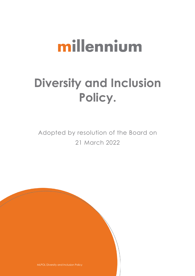# millennium

## **Diversity and Inclusion Policy.**

Adopted by resolution of the Board on 21 March 2022

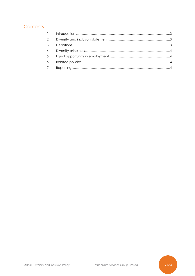### Contents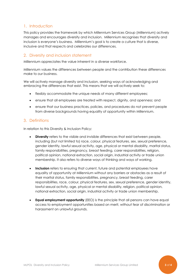#### <span id="page-2-0"></span>1. Introduction

This policy provides the framework by which Millennium Services Group (Millennium) actively manages and encourages diversity and inclusion. Millennium recognises that diversity and inclusion is everyone's business. Millennium's goal is to create a culture that is diverse, inclusive and that respects and celebrates our differences.

#### <span id="page-2-1"></span>2. Diversity and inclusion statement

Millennium appreciates the value inherent in a diverse workforce.

Millennium values the differences between people and the contribution these differences make to our business.

We will actively manage diversity and inclusion, seeking ways of acknowledging and embracing the differences that exist. This means that we will actively seek to:

- flexibly accommodate the unique needs of many different employees;
- ensure that all employees are treated with respect, dignity, and openness; and
- ensure that our business practices, policies, and procedures do not prevent people from diverse backgrounds having equality of opportunity within Millennium.

#### <span id="page-2-2"></span>3. Definitions

In relation to this Diversity & Inclusion Policy:

- **Diversity** refers to the visible and invisible differences that exist between people, including (but not limited to) race, colour, physical features, sex, sexual preference, gender identity, lawful sexual activity, age, physical or mental disability, marital status, family responsibilities, pregnancy, breast feeding, carer responsibilities, religion, political opinion, national extraction, social origin, industrial activity or trade union membership. It also refers to diverse ways of thinking and ways of working.
- **Inclusion** refers to ensuring that current, future and potential employees have equality of opportunity at Millennium without any barriers or obstacles as a result of their marital status, family responsibilities, pregnancy, breast feeding, carer responsibilities, race, colour, physical features, sex, sexual preference, gender identity, lawful sexual activity, age, physical or mental disability, religion, political opinion, national extraction, social origin, industrial activity or trade union membership.
- **Equal employment opportunity** (EEO) is the principle that all persons can have equal access to employment opportunities based on merit, without fear of discrimination or harassment on unlawful grounds.